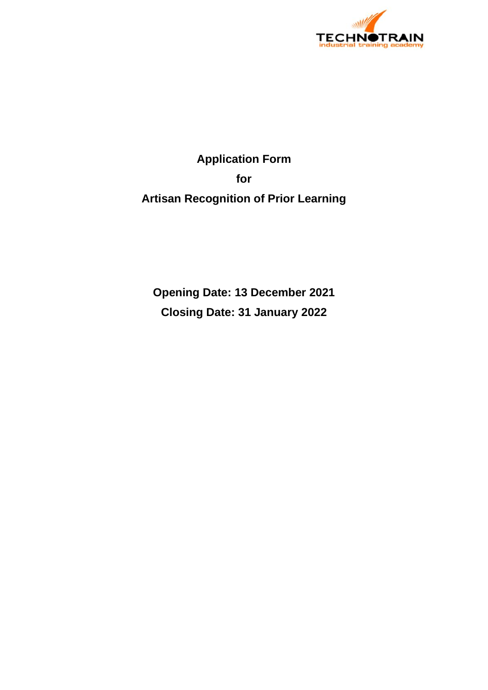

# **Application Form for Artisan Recognition of Prior Learning**

**Opening Date: 13 December 2021 Closing Date: 31 January 2022**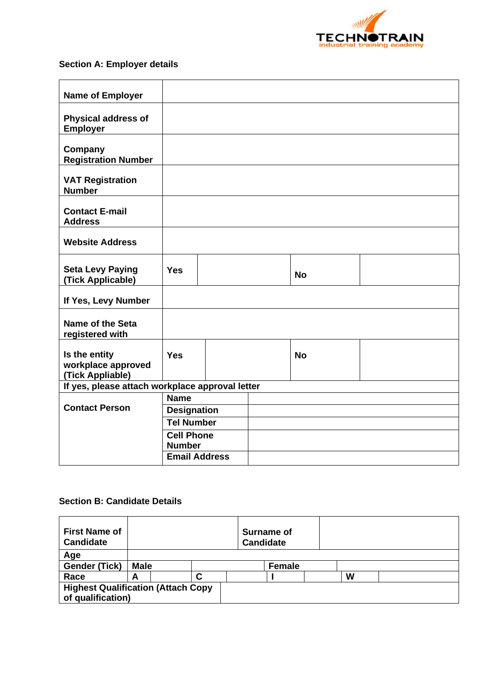

## **Section A: Employer details**

| <b>Yes</b>  |  |                                                                                                       | <b>No</b>                                       |  |
|-------------|--|-------------------------------------------------------------------------------------------------------|-------------------------------------------------|--|
|             |  |                                                                                                       |                                                 |  |
|             |  |                                                                                                       |                                                 |  |
| <b>Yes</b>  |  |                                                                                                       | <b>No</b>                                       |  |
|             |  |                                                                                                       |                                                 |  |
| <b>Name</b> |  |                                                                                                       |                                                 |  |
|             |  |                                                                                                       |                                                 |  |
|             |  |                                                                                                       |                                                 |  |
|             |  |                                                                                                       |                                                 |  |
|             |  |                                                                                                       |                                                 |  |
|             |  | <b>Designation</b><br><b>Tel Number</b><br><b>Cell Phone</b><br><b>Number</b><br><b>Email Address</b> | If yes, please attach workplace approval letter |  |

### **Section B: Candidate Details**

| <b>First Name of</b><br><b>Candidate</b>                        |             |   |  | Surname of<br><b>Candidate</b> |  |   |  |
|-----------------------------------------------------------------|-------------|---|--|--------------------------------|--|---|--|
| Age                                                             |             |   |  |                                |  |   |  |
| <b>Gender (Tick)</b>                                            | <b>Male</b> |   |  | <b>Female</b>                  |  |   |  |
| Race                                                            | А           | r |  |                                |  | W |  |
| <b>Highest Qualification (Attach Copy)</b><br>of qualification) |             |   |  |                                |  |   |  |